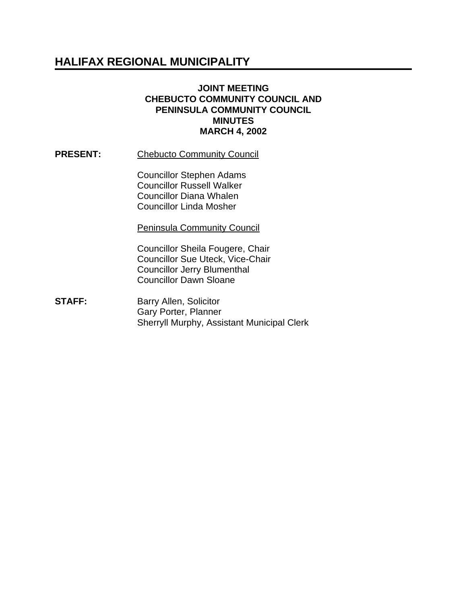# **HALIFAX REGIONAL MUNICIPALITY**

#### **JOINT MEETING CHEBUCTO COMMUNITY COUNCIL AND PENINSULA COMMUNITY COUNCIL MINUTES MARCH 4, 2002**

**PRESENT:** Chebucto Community Council

Councillor Stephen Adams Councillor Russell Walker Councillor Diana Whalen Councillor Linda Mosher

Peninsula Community Council

Councillor Sheila Fougere, Chair Councillor Sue Uteck, Vice-Chair Councillor Jerry Blumenthal Councillor Dawn Sloane

**STAFF:** Barry Allen, Solicitor Gary Porter, Planner Sherryll Murphy, Assistant Municipal Clerk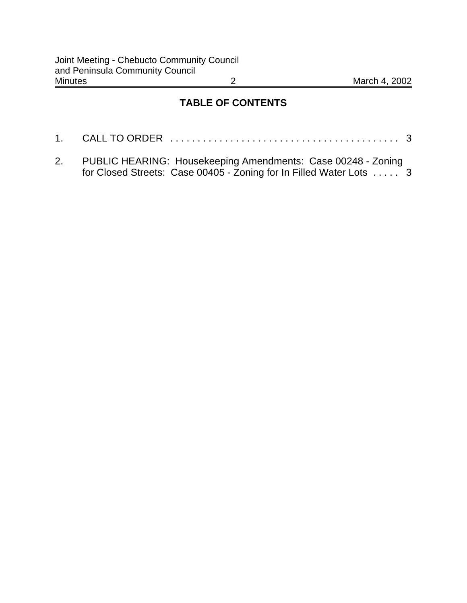## **TABLE OF CONTENTS**

| 2. PUBLIC HEARING: Housekeeping Amendments: Case 00248 - Zoning |  |
|-----------------------------------------------------------------|--|

for Closed Streets: Case 00405 - Zoning for In Filled Water Lots ..... 3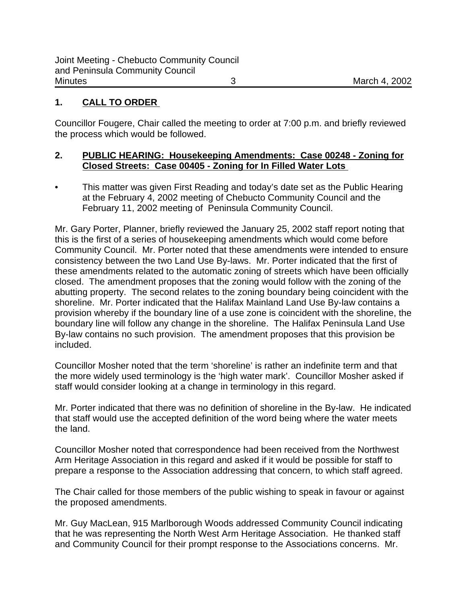### **1. CALL TO ORDER**

Councillor Fougere, Chair called the meeting to order at 7:00 p.m. and briefly reviewed the process which would be followed.

### **2. PUBLIC HEARING: Housekeeping Amendments: Case 00248 - Zoning for Closed Streets: Case 00405 - Zoning for In Filled Water Lots**

• This matter was given First Reading and today's date set as the Public Hearing at the February 4, 2002 meeting of Chebucto Community Council and the February 11, 2002 meeting of Peninsula Community Council.

Mr. Gary Porter, Planner, briefly reviewed the January 25, 2002 staff report noting that this is the first of a series of housekeeping amendments which would come before Community Council. Mr. Porter noted that these amendments were intended to ensure consistency between the two Land Use By-laws. Mr. Porter indicated that the first of these amendments related to the automatic zoning of streets which have been officially closed. The amendment proposes that the zoning would follow with the zoning of the abutting property. The second relates to the zoning boundary being coincident with the shoreline. Mr. Porter indicated that the Halifax Mainland Land Use By-law contains a provision whereby if the boundary line of a use zone is coincident with the shoreline, the boundary line will follow any change in the shoreline. The Halifax Peninsula Land Use By-law contains no such provision. The amendment proposes that this provision be included.

Councillor Mosher noted that the term 'shoreline' is rather an indefinite term and that the more widely used terminology is the 'high water mark'. Councillor Mosher asked if staff would consider looking at a change in terminology in this regard.

Mr. Porter indicated that there was no definition of shoreline in the By-law. He indicated that staff would use the accepted definition of the word being where the water meets the land.

Councillor Mosher noted that correspondence had been received from the Northwest Arm Heritage Association in this regard and asked if it would be possible for staff to prepare a response to the Association addressing that concern, to which staff agreed.

The Chair called for those members of the public wishing to speak in favour or against the proposed amendments.

Mr. Guy MacLean, 915 Marlborough Woods addressed Community Council indicating that he was representing the North West Arm Heritage Association. He thanked staff and Community Council for their prompt response to the Associations concerns. Mr.